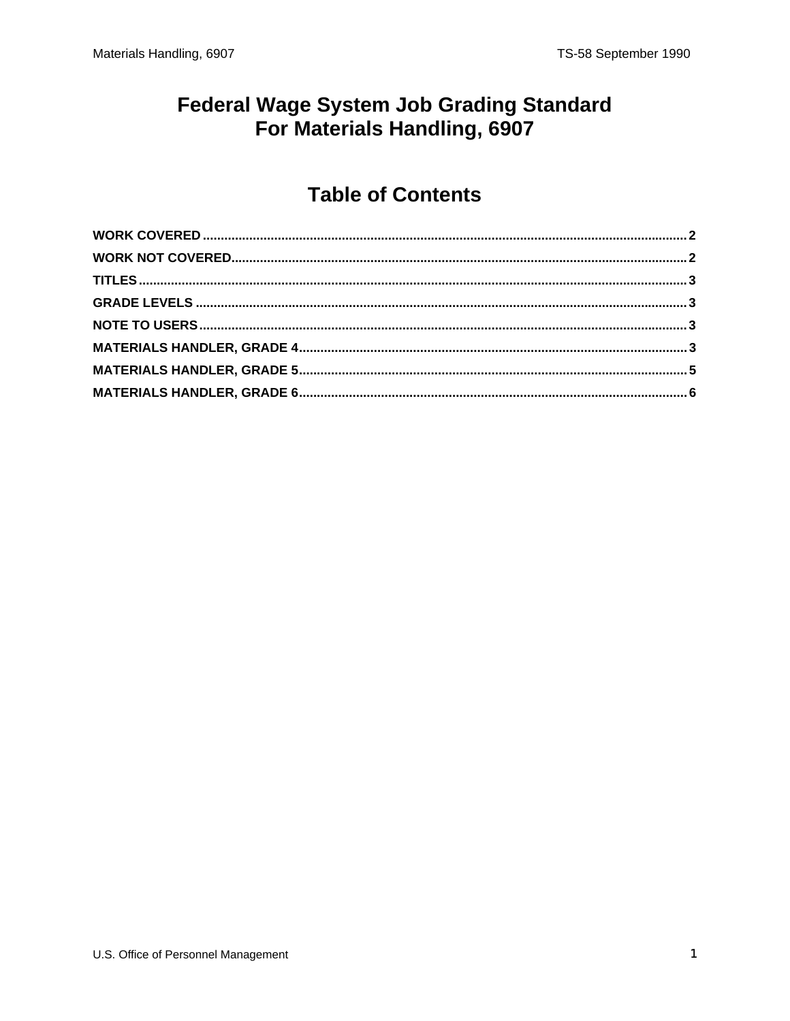#### **Federal Wage System Job Grading Standard** For Materials Handling, 6907

#### **Table of Contents**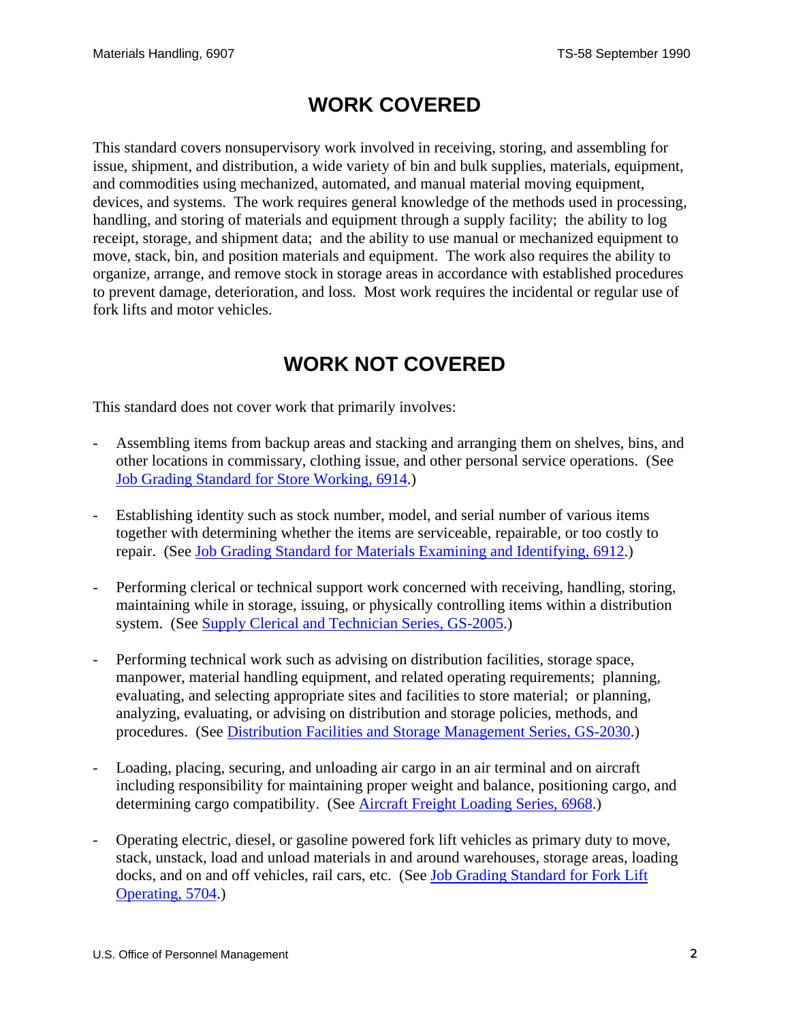#### **WORK COVERED**

<span id="page-1-0"></span>This standard covers nonsupervisory work involved in receiving, storing, and assembling for issue, shipment, and distribution, a wide variety of bin and bulk supplies, materials, equipment, and commodities using mechanized, automated, and manual material moving equipment, devices, and systems. The work requires general knowledge of the methods used in processing, handling, and storing of materials and equipment through a supply facility; the ability to log receipt, storage, and shipment data; and the ability to use manual or mechanized equipment to move, stack, bin, and position materials and equipment. The work also requires the ability to organize, arrange, and remove stock in storage areas in accordance with established procedures to prevent damage, deterioration, and loss. Most work requires the incidental or regular use of fork lifts and motor vehicles.

# **WORK NOT COVERED**

This standard does not cover work that primarily involves:

- Assembling items from backup areas and stacking and arranging them on shelves, bins, and other locations in commissary, clothing issue, and other personal service operations. (See Job Grading Standard for Store Working, 6914.)
- Establishing identity such as stock number, model, and serial number of various items together with determining whether the items are serviceable, repairable, or too costly to repair. (See Job Grading Standard for Materials Examining and Identifying, 6912.)
- Performing clerical or technical support work concerned with receiving, handling, storing, maintaining while in storage, issuing, or physically controlling items within a distribution system. (See Supply Clerical and Technician Series, GS-2005.)
- Performing technical work such as advising on distribution facilities, storage space, manpower, material handling equipment, and related operating requirements; planning, evaluating, and selecting appropriate sites and facilities to store material; or planning, analyzing, evaluating, or advising on distribution and storage policies, methods, and procedures. (See Distribution Facilities and Storage Management Series, GS-2030.)
- Loading, placing, securing, and unloading air cargo in an air terminal and on aircraft including responsibility for maintaining proper weight and balance, positioning cargo, and determining cargo compatibility. (See **Aircraft Freight Loading Series**, 6968.)
- Operating electric, diesel, or gasoline powered fork lift vehicles as primary duty to move, stack, unstack, load and unload materials in and around warehouses, storage areas, loading docks, and on and off vehicles, rail cars, etc. (See Job Grading Standard for Fork Lift Operating, 5704.)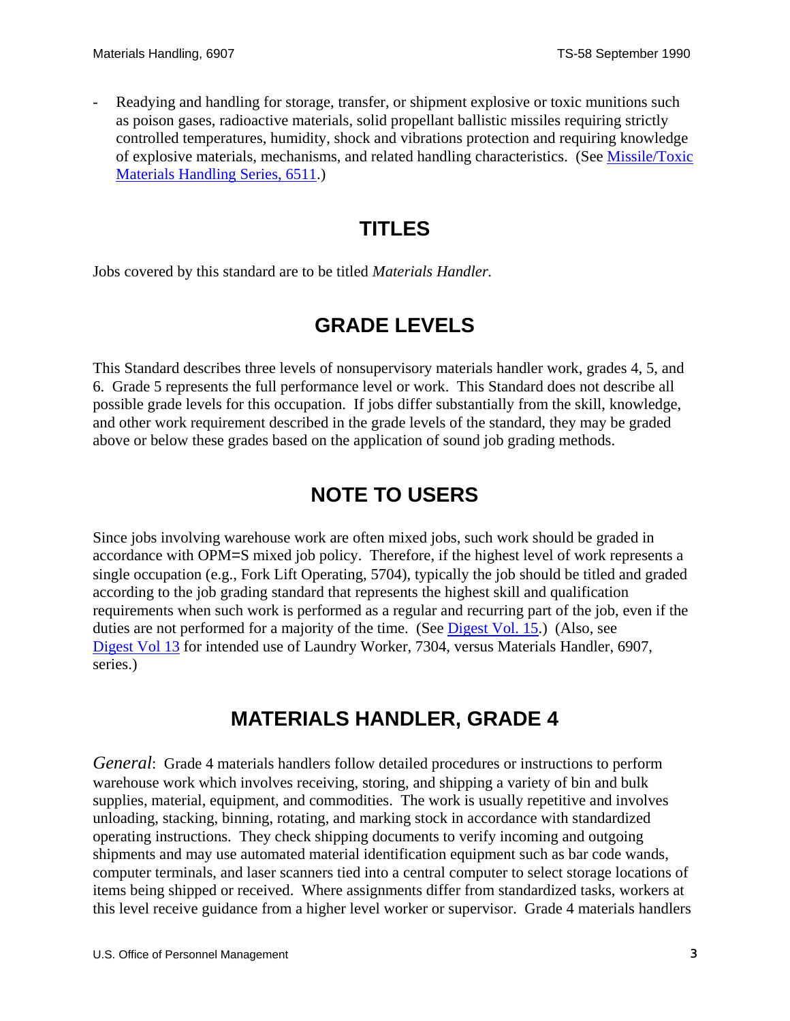<span id="page-2-0"></span>Readying and handling for storage, transfer, or shipment explosive or toxic munitions such as poison gases, radioactive materials, solid propellant ballistic missiles requiring strictly controlled temperatures, humidity, shock and vibrations protection and requiring knowledge of explosive materials, mechanisms, and related handling characteristics. (See Missile/Toxic Materials Handling Series, 6511.)

# **TITLES**

Jobs covered by this standard are to be titled *Materials Handler.* 

## **GRADE LEVELS**

This Standard describes three levels of nonsupervisory materials handler work, grades 4, 5, and 6. Grade 5 represents the full performance level or work. This Standard does not describe all possible grade levels for this occupation. If jobs differ substantially from the skill, knowledge, and other work requirement described in the grade levels of the standard, they may be graded above or below these grades based on the application of sound job grading methods.

# **NOTE TO USERS**

Since jobs involving warehouse work are often mixed jobs, such work should be graded in accordance with OPM=S mixed job policy. Therefore, if the highest level of work represents a single occupation (e.g., Fork Lift Operating, 5704), typically the job should be titled and graded according to the job grading standard that represents the highest skill and qualification requirements when such work is performed as a regular and recurring part of the job, even if the duties are not performed for a majority of the time. (See [Digest Vol. 15](http://www.opm.gov/classapp/digests/digest15.pdf).) (Also, see [Digest Vol 13](http://www.opm.gov/classapp/digests/digest13.pdf) for intended use of Laundry Worker, 7304, versus Materials Handler, 6907, series.)

## **MATERIALS HANDLER, GRADE 4**

*General*: Grade 4 materials handlers follow detailed procedures or instructions to perform warehouse work which involves receiving, storing, and shipping a variety of bin and bulk supplies, material, equipment, and commodities. The work is usually repetitive and involves unloading, stacking, binning, rotating, and marking stock in accordance with standardized operating instructions. They check shipping documents to verify incoming and outgoing shipments and may use automated material identification equipment such as bar code wands, computer terminals, and laser scanners tied into a central computer to select storage locations of items being shipped or received. Where assignments differ from standardized tasks, workers at this level receive guidance from a higher level worker or supervisor. Grade 4 materials handlers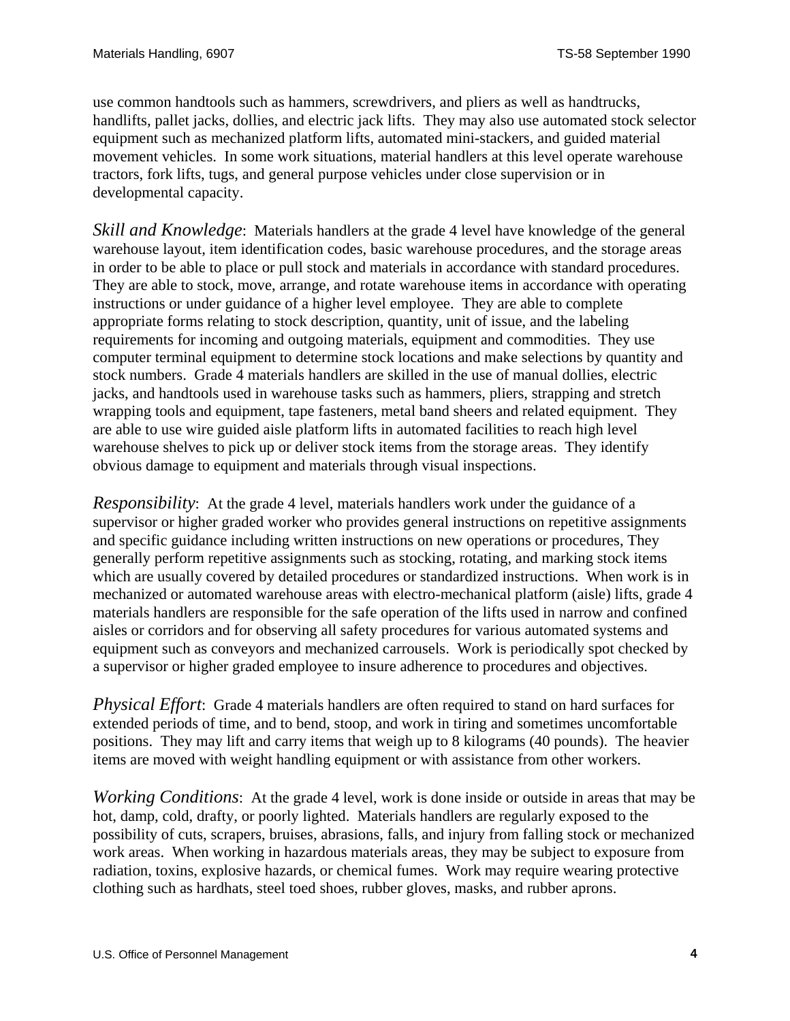use common handtools such as hammers, screwdrivers, and pliers as well as handtrucks, handlifts, pallet jacks, dollies, and electric jack lifts. They may also use automated stock selector equipment such as mechanized platform lifts, automated mini-stackers, and guided material movement vehicles. In some work situations, material handlers at this level operate warehouse tractors, fork lifts, tugs, and general purpose vehicles under close supervision or in developmental capacity.

*Skill and Knowledge*: Materials handlers at the grade 4 level have knowledge of the general warehouse layout, item identification codes, basic warehouse procedures, and the storage areas in order to be able to place or pull stock and materials in accordance with standard procedures. They are able to stock, move, arrange, and rotate warehouse items in accordance with operating instructions or under guidance of a higher level employee. They are able to complete appropriate forms relating to stock description, quantity, unit of issue, and the labeling requirements for incoming and outgoing materials, equipment and commodities. They use computer terminal equipment to determine stock locations and make selections by quantity and stock numbers. Grade 4 materials handlers are skilled in the use of manual dollies, electric jacks, and handtools used in warehouse tasks such as hammers, pliers, strapping and stretch wrapping tools and equipment, tape fasteners, metal band sheers and related equipment. They are able to use wire guided aisle platform lifts in automated facilities to reach high level warehouse shelves to pick up or deliver stock items from the storage areas. They identify obvious damage to equipment and materials through visual inspections.

*Responsibility*: At the grade 4 level, materials handlers work under the guidance of a supervisor or higher graded worker who provides general instructions on repetitive assignments and specific guidance including written instructions on new operations or procedures, They generally perform repetitive assignments such as stocking, rotating, and marking stock items which are usually covered by detailed procedures or standardized instructions. When work is in mechanized or automated warehouse areas with electro-mechanical platform (aisle) lifts, grade 4 materials handlers are responsible for the safe operation of the lifts used in narrow and confined aisles or corridors and for observing all safety procedures for various automated systems and equipment such as conveyors and mechanized carrousels. Work is periodically spot checked by a supervisor or higher graded employee to insure adherence to procedures and objectives.

*Physical Effort*: Grade 4 materials handlers are often required to stand on hard surfaces for extended periods of time, and to bend, stoop, and work in tiring and sometimes uncomfortable positions. They may lift and carry items that weigh up to 8 kilograms (40 pounds). The heavier items are moved with weight handling equipment or with assistance from other workers.

*Working Conditions*: At the grade 4 level, work is done inside or outside in areas that may be hot, damp, cold, drafty, or poorly lighted. Materials handlers are regularly exposed to the possibility of cuts, scrapers, bruises, abrasions, falls, and injury from falling stock or mechanized work areas. When working in hazardous materials areas, they may be subject to exposure from radiation, toxins, explosive hazards, or chemical fumes. Work may require wearing protective clothing such as hardhats, steel toed shoes, rubber gloves, masks, and rubber aprons.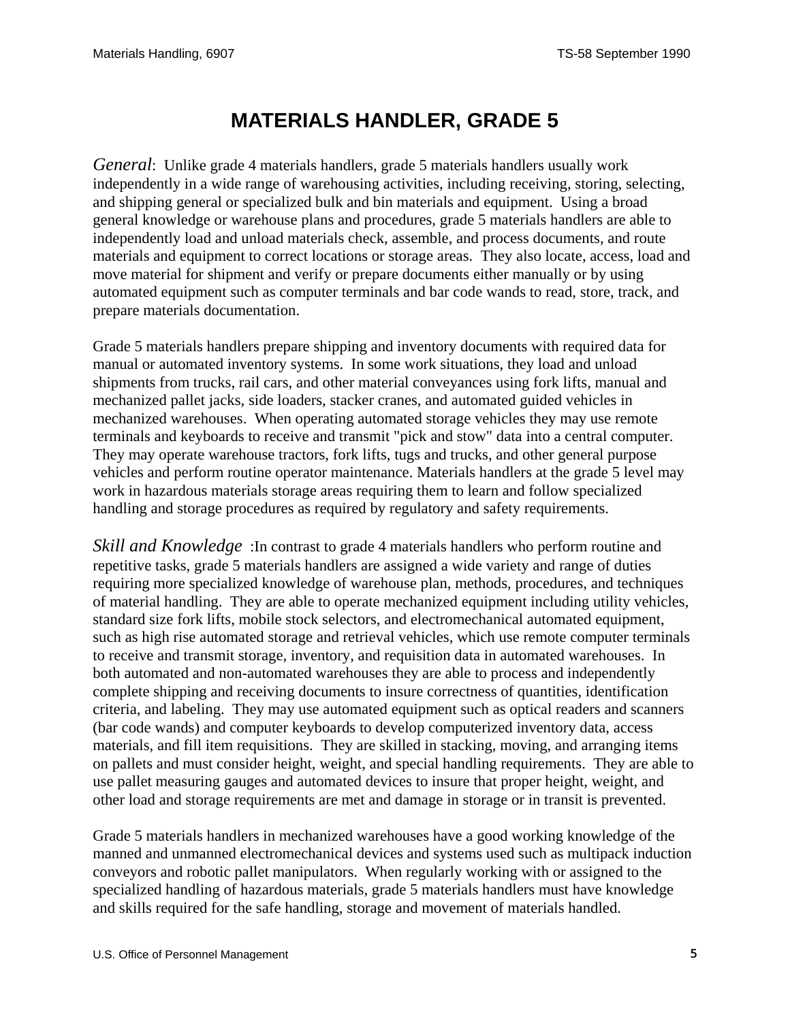## **MATERIALS HANDLER, GRADE 5**

<span id="page-4-0"></span>*General*: Unlike grade 4 materials handlers, grade 5 materials handlers usually work independently in a wide range of warehousing activities, including receiving, storing, selecting, and shipping general or specialized bulk and bin materials and equipment. Using a broad general knowledge or warehouse plans and procedures, grade 5 materials handlers are able to independently load and unload materials check, assemble, and process documents, and route materials and equipment to correct locations or storage areas. They also locate, access, load and move material for shipment and verify or prepare documents either manually or by using automated equipment such as computer terminals and bar code wands to read, store, track, and prepare materials documentation.

Grade 5 materials handlers prepare shipping and inventory documents with required data for manual or automated inventory systems. In some work situations, they load and unload shipments from trucks, rail cars, and other material conveyances using fork lifts, manual and mechanized pallet jacks, side loaders, stacker cranes, and automated guided vehicles in mechanized warehouses. When operating automated storage vehicles they may use remote terminals and keyboards to receive and transmit "pick and stow" data into a central computer. They may operate warehouse tractors, fork lifts, tugs and trucks, and other general purpose vehicles and perform routine operator maintenance. Materials handlers at the grade 5 level may work in hazardous materials storage areas requiring them to learn and follow specialized handling and storage procedures as required by regulatory and safety requirements.

*Skill and Knowledge* : In contrast to grade 4 materials handlers who perform routine and repetitive tasks, grade 5 materials handlers are assigned a wide variety and range of duties requiring more specialized knowledge of warehouse plan, methods, procedures, and techniques of material handling. They are able to operate mechanized equipment including utility vehicles, standard size fork lifts, mobile stock selectors, and electromechanical automated equipment, such as high rise automated storage and retrieval vehicles, which use remote computer terminals to receive and transmit storage, inventory, and requisition data in automated warehouses. In both automated and non-automated warehouses they are able to process and independently complete shipping and receiving documents to insure correctness of quantities, identification criteria, and labeling. They may use automated equipment such as optical readers and scanners (bar code wands) and computer keyboards to develop computerized inventory data, access materials, and fill item requisitions. They are skilled in stacking, moving, and arranging items on pallets and must consider height, weight, and special handling requirements. They are able to use pallet measuring gauges and automated devices to insure that proper height, weight, and other load and storage requirements are met and damage in storage or in transit is prevented.

Grade 5 materials handlers in mechanized warehouses have a good working knowledge of the manned and unmanned electromechanical devices and systems used such as multipack induction conveyors and robotic pallet manipulators. When regularly working with or assigned to the specialized handling of hazardous materials, grade 5 materials handlers must have knowledge and skills required for the safe handling, storage and movement of materials handled.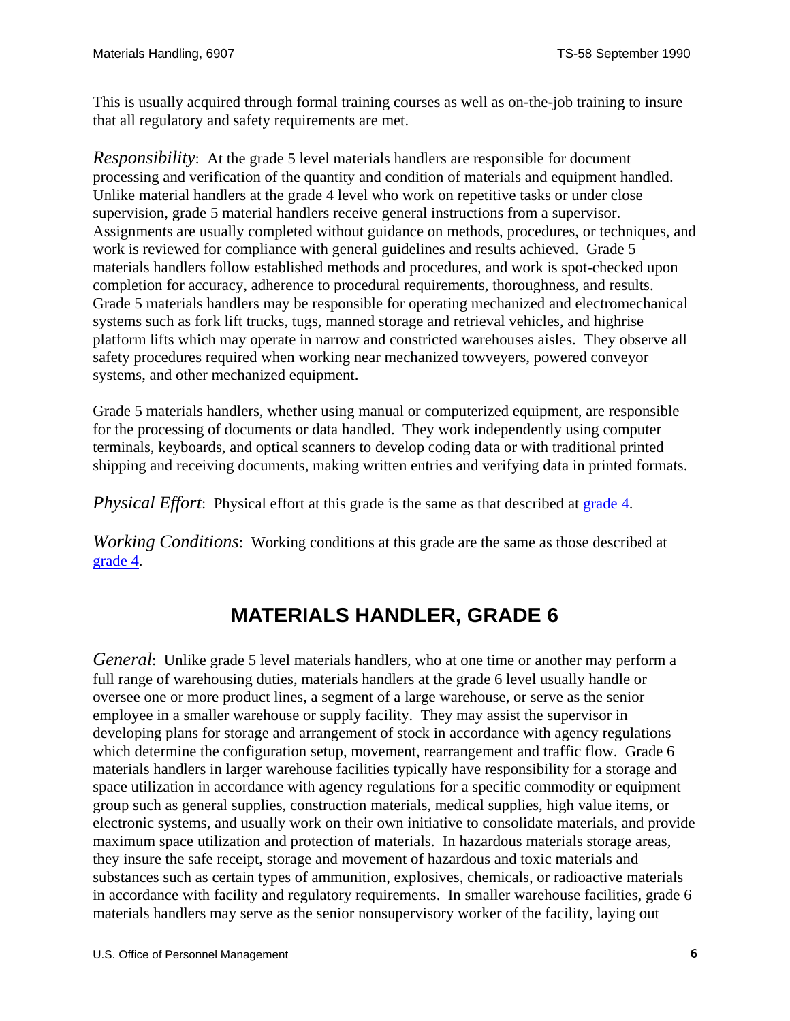<span id="page-5-0"></span>This is usually acquired through formal training courses as well as on-the-job training to insure that all regulatory and safety requirements are met.

*Responsibility*: At the grade 5 level materials handlers are responsible for document processing and verification of the quantity and condition of materials and equipment handled. Unlike material handlers at the grade 4 level who work on repetitive tasks or under close supervision, grade 5 material handlers receive general instructions from a supervisor. Assignments are usually completed without guidance on methods, procedures, or techniques, and work is reviewed for compliance with general guidelines and results achieved. Grade 5 materials handlers follow established methods and procedures, and work is spot-checked upon completion for accuracy, adherence to procedural requirements, thoroughness, and results. Grade 5 materials handlers may be responsible for operating mechanized and electromechanical systems such as fork lift trucks, tugs, manned storage and retrieval vehicles, and highrise platform lifts which may operate in narrow and constricted warehouses aisles. They observe all safety procedures required when working near mechanized towveyers, powered conveyor systems, and other mechanized equipment.

Grade 5 materials handlers, whether using manual or computerized equipment, are responsible for the processing of documents or data handled. They work independently using computer terminals, keyboards, and optical scanners to develop coding data or with traditional printed shipping and receiving documents, making written entries and verifying data in printed formats.

*Physical Effort*: Physical effort at this grade is the same as that described at [grade 4.](#page-2-0)

*Working Conditions*: Working conditions at this grade are the same as those described at [grade 4.](#page-2-0)

## **MATERIALS HANDLER, GRADE 6**

*General*: Unlike grade 5 level materials handlers, who at one time or another may perform a full range of warehousing duties, materials handlers at the grade 6 level usually handle or oversee one or more product lines, a segment of a large warehouse, or serve as the senior employee in a smaller warehouse or supply facility. They may assist the supervisor in developing plans for storage and arrangement of stock in accordance with agency regulations which determine the configuration setup, movement, rearrangement and traffic flow. Grade 6 materials handlers in larger warehouse facilities typically have responsibility for a storage and space utilization in accordance with agency regulations for a specific commodity or equipment group such as general supplies, construction materials, medical supplies, high value items, or electronic systems, and usually work on their own initiative to consolidate materials, and provide maximum space utilization and protection of materials. In hazardous materials storage areas, they insure the safe receipt, storage and movement of hazardous and toxic materials and substances such as certain types of ammunition, explosives, chemicals, or radioactive materials in accordance with facility and regulatory requirements. In smaller warehouse facilities, grade 6 materials handlers may serve as the senior nonsupervisory worker of the facility, laying out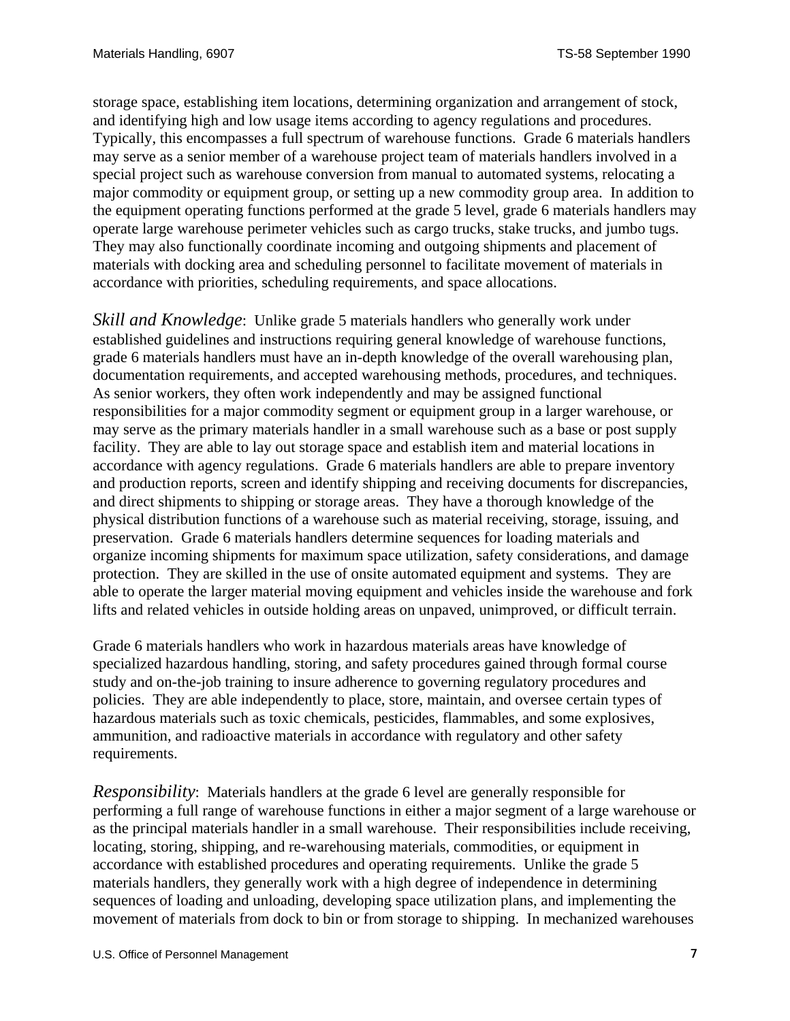storage space, establishing item locations, determining organization and arrangement of stock, and identifying high and low usage items according to agency regulations and procedures. Typically, this encompasses a full spectrum of warehouse functions. Grade 6 materials handlers may serve as a senior member of a warehouse project team of materials handlers involved in a special project such as warehouse conversion from manual to automated systems, relocating a major commodity or equipment group, or setting up a new commodity group area. In addition to the equipment operating functions performed at the grade 5 level, grade 6 materials handlers may operate large warehouse perimeter vehicles such as cargo trucks, stake trucks, and jumbo tugs. They may also functionally coordinate incoming and outgoing shipments and placement of materials with docking area and scheduling personnel to facilitate movement of materials in accordance with priorities, scheduling requirements, and space allocations.

*Skill and Knowledge*: Unlike grade 5 materials handlers who generally work under established guidelines and instructions requiring general knowledge of warehouse functions, grade 6 materials handlers must have an in-depth knowledge of the overall warehousing plan, documentation requirements, and accepted warehousing methods, procedures, and techniques. As senior workers, they often work independently and may be assigned functional responsibilities for a major commodity segment or equipment group in a larger warehouse, or may serve as the primary materials handler in a small warehouse such as a base or post supply facility. They are able to lay out storage space and establish item and material locations in accordance with agency regulations. Grade 6 materials handlers are able to prepare inventory and production reports, screen and identify shipping and receiving documents for discrepancies, and direct shipments to shipping or storage areas. They have a thorough knowledge of the physical distribution functions of a warehouse such as material receiving, storage, issuing, and preservation. Grade 6 materials handlers determine sequences for loading materials and organize incoming shipments for maximum space utilization, safety considerations, and damage protection. They are skilled in the use of onsite automated equipment and systems. They are able to operate the larger material moving equipment and vehicles inside the warehouse and fork lifts and related vehicles in outside holding areas on unpaved, unimproved, or difficult terrain.

Grade 6 materials handlers who work in hazardous materials areas have knowledge of specialized hazardous handling, storing, and safety procedures gained through formal course study and on-the-job training to insure adherence to governing regulatory procedures and policies. They are able independently to place, store, maintain, and oversee certain types of hazardous materials such as toxic chemicals, pesticides, flammables, and some explosives, ammunition, and radioactive materials in accordance with regulatory and other safety requirements.

*Responsibility*: Materials handlers at the grade 6 level are generally responsible for performing a full range of warehouse functions in either a major segment of a large warehouse or as the principal materials handler in a small warehouse. Their responsibilities include receiving, locating, storing, shipping, and re-warehousing materials, commodities, or equipment in accordance with established procedures and operating requirements. Unlike the grade 5 materials handlers, they generally work with a high degree of independence in determining sequences of loading and unloading, developing space utilization plans, and implementing the movement of materials from dock to bin or from storage to shipping. In mechanized warehouses